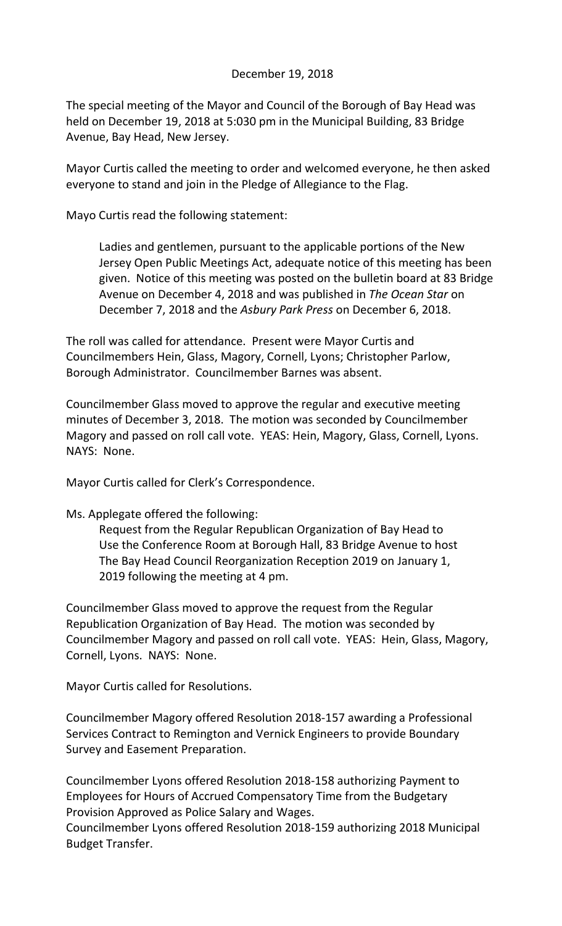## December 19, 2018

The special meeting of the Mayor and Council of the Borough of Bay Head was held on December 19, 2018 at 5:030 pm in the Municipal Building, 83 Bridge Avenue, Bay Head, New Jersey.

Mayor Curtis called the meeting to order and welcomed everyone, he then asked everyone to stand and join in the Pledge of Allegiance to the Flag.

Mayo Curtis read the following statement:

Ladies and gentlemen, pursuant to the applicable portions of the New Jersey Open Public Meetings Act, adequate notice of this meeting has been given. Notice of this meeting was posted on the bulletin board at 83 Bridge Avenue on December 4, 2018 and was published in *The Ocean Star* on December 7, 2018 and the *Asbury Park Press* on December 6, 2018.

The roll was called for attendance. Present were Mayor Curtis and Councilmembers Hein, Glass, Magory, Cornell, Lyons; Christopher Parlow, Borough Administrator. Councilmember Barnes was absent.

Councilmember Glass moved to approve the regular and executive meeting minutes of December 3, 2018. The motion was seconded by Councilmember Magory and passed on roll call vote. YEAS: Hein, Magory, Glass, Cornell, Lyons. NAYS: None.

Mayor Curtis called for Clerk's Correspondence.

## Ms. Applegate offered the following:

Request from the Regular Republican Organization of Bay Head to Use the Conference Room at Borough Hall, 83 Bridge Avenue to host The Bay Head Council Reorganization Reception 2019 on January 1, 2019 following the meeting at 4 pm.

Councilmember Glass moved to approve the request from the Regular Republication Organization of Bay Head. The motion was seconded by Councilmember Magory and passed on roll call vote. YEAS: Hein, Glass, Magory, Cornell, Lyons. NAYS: None.

Mayor Curtis called for Resolutions.

Councilmember Magory offered Resolution 2018-157 awarding a Professional Services Contract to Remington and Vernick Engineers to provide Boundary Survey and Easement Preparation.

Councilmember Lyons offered Resolution 2018-158 authorizing Payment to Employees for Hours of Accrued Compensatory Time from the Budgetary Provision Approved as Police Salary and Wages.

Councilmember Lyons offered Resolution 2018-159 authorizing 2018 Municipal Budget Transfer.